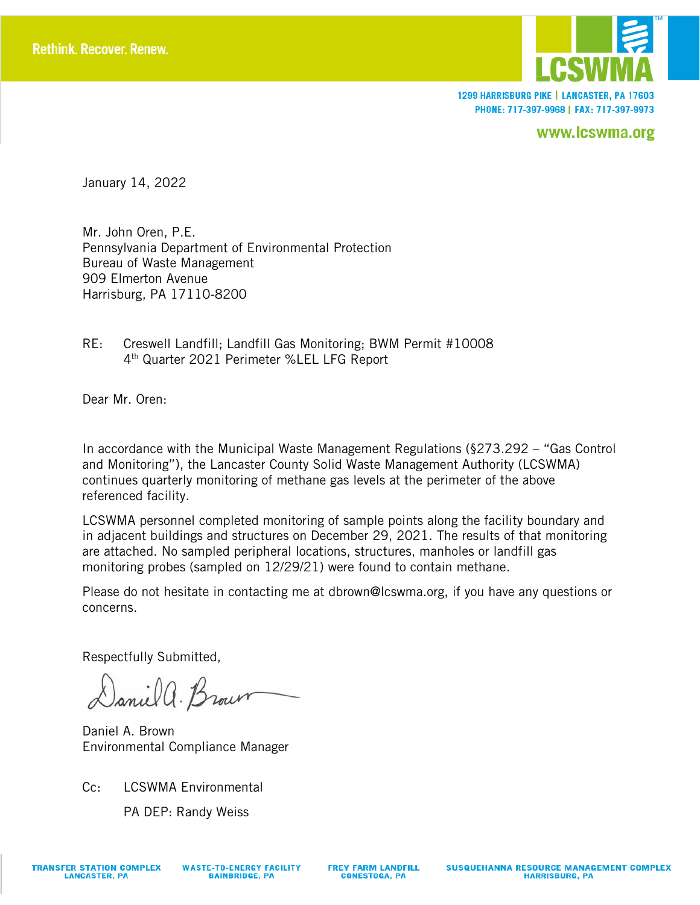

1299 HARRISBURG PIKE | LANCASTER, PA 17603 PHONE: 717-397-9968 | FAX: 717-397-9973

www.lcswma.org

January 14, 2022

Mr. John Oren, P.E. Pennsylvania Department of Environmental Protection Bureau of Waste Management 909 Elmerton Avenue Harrisburg, PA 17110-8200

RE: Creswell Landfill; Landfill Gas Monitoring; BWM Permit #10008 4th Quarter 2021 Perimeter %LEL LFG Report

Dear Mr. Oren:

In accordance with the Municipal Waste Management Regulations (§273.292 – "Gas Control and Monitoring"), the Lancaster County Solid Waste Management Authority (LCSWMA) continues quarterly monitoring of methane gas levels at the perimeter of the above referenced facility.

LCSWMA personnel completed monitoring of sample points along the facility boundary and in adjacent buildings and structures on December 29, 2021. The results of that monitoring are attached. No sampled peripheral locations, structures, manholes or landfill gas monitoring probes (sampled on 12/29/21) were found to contain methane.

Please do not hesitate in contacting me at dbrown@lcswma.org, if you have any questions or concerns.

Respectfully Submitted,

Daniel a. Brown

Daniel A. Brown Environmental Compliance Manager

Cc: LCSWMA Environmental

PA DEP: Randy Weiss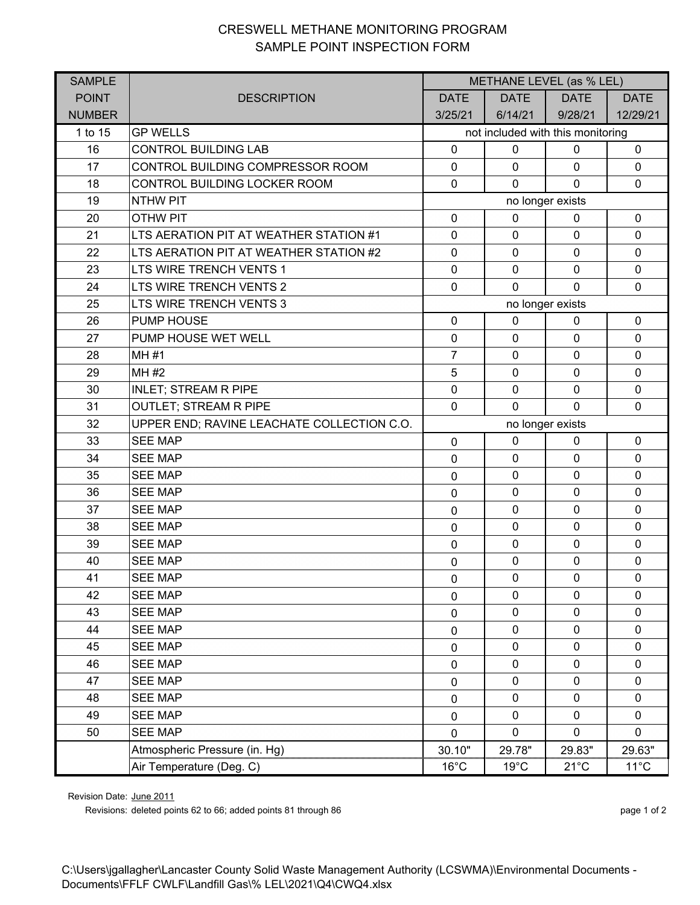## CRESWELL METHANE MONITORING PROGRAM SAMPLE POINT INSPECTION FORM

| <b>SAMPLE</b> |                                            | METHANE LEVEL (as % LEL)          |                |                |                |  |
|---------------|--------------------------------------------|-----------------------------------|----------------|----------------|----------------|--|
| <b>POINT</b>  | <b>DESCRIPTION</b>                         | <b>DATE</b>                       | <b>DATE</b>    | <b>DATE</b>    | <b>DATE</b>    |  |
| <b>NUMBER</b> |                                            | 3/25/21                           | 6/14/21        | 9/28/21        | 12/29/21       |  |
| 1 to 15       | <b>GP WELLS</b>                            | not included with this monitoring |                |                |                |  |
| 16            | <b>CONTROL BUILDING LAB</b>                | $\mathbf 0$                       | $\mathbf 0$    | $\mathbf 0$    | $\mathbf 0$    |  |
| 17            | CONTROL BUILDING COMPRESSOR ROOM           | $\pmb{0}$                         | $\mathbf 0$    | $\mathbf 0$    | $\mathbf 0$    |  |
| 18            | CONTROL BUILDING LOCKER ROOM               | $\mathbf 0$                       | $\mathbf{0}$   | $\Omega$       | $\mathbf{0}$   |  |
| 19            | <b>NTHW PIT</b>                            | no longer exists                  |                |                |                |  |
| 20            | <b>OTHW PIT</b>                            | $\mathbf 0$                       | $\mathbf 0$    | 0              | $\mathbf 0$    |  |
| 21            | LTS AERATION PIT AT WEATHER STATION #1     | $\mathbf 0$                       | $\mathbf 0$    | $\mathbf 0$    | $\mathbf 0$    |  |
| 22            | LTS AERATION PIT AT WEATHER STATION #2     | $\mathbf 0$                       | $\mathbf 0$    | $\mathbf 0$    | $\mathbf 0$    |  |
| 23            | LTS WIRE TRENCH VENTS 1                    | $\mathbf 0$                       | $\mathbf 0$    | $\mathbf 0$    | $\mathbf 0$    |  |
| 24            | LTS WIRE TRENCH VENTS 2                    | $\mathbf 0$                       | $\mathbf{0}$   | $\mathbf{0}$   | $\Omega$       |  |
| 25            | LTS WIRE TRENCH VENTS 3                    | no longer exists                  |                |                |                |  |
| 26            | <b>PUMP HOUSE</b>                          | $\mathbf 0$                       | $\mathbf 0$    | $\mathbf 0$    | $\mathbf 0$    |  |
| 27            | PUMP HOUSE WET WELL                        | $\pmb{0}$                         | $\mathbf 0$    | $\mathbf 0$    | $\mathbf 0$    |  |
| 28            | MH #1                                      | $\overline{7}$                    | $\mathbf 0$    | $\mathbf 0$    | $\mathbf 0$    |  |
| 29            | MH #2                                      | $\sqrt{5}$                        | $\mathbf 0$    | $\mathbf 0$    | $\mathbf 0$    |  |
| 30            | <b>INLET; STREAM R PIPE</b>                | $\mathbf 0$                       | $\mathbf 0$    | $\mathbf 0$    | $\mathbf 0$    |  |
| 31            | <b>OUTLET; STREAM R PIPE</b>               | $\mathbf 0$                       | $\mathbf{0}$   | $\Omega$       | $\mathbf 0$    |  |
| 32            | UPPER END; RAVINE LEACHATE COLLECTION C.O. | no longer exists                  |                |                |                |  |
| 33            | <b>SEE MAP</b>                             | $\mathbf 0$                       | $\mathbf 0$    | 0              | $\mathbf 0$    |  |
| 34            | <b>SEE MAP</b>                             | $\mathbf 0$                       | $\mathbf 0$    | $\mathbf 0$    | $\mathbf 0$    |  |
| 35            | <b>SEE MAP</b>                             | $\mathbf 0$                       | $\mathbf 0$    | $\mathbf 0$    | $\mathbf 0$    |  |
| 36            | <b>SEE MAP</b>                             | $\mathbf 0$                       | $\mathbf 0$    | $\mathbf 0$    | $\mathbf 0$    |  |
| 37            | <b>SEE MAP</b>                             | $\mathbf 0$                       | $\mathbf 0$    | $\mathbf 0$    | $\mathbf 0$    |  |
| 38            | <b>SEE MAP</b>                             | $\mathbf 0$                       | $\mathbf 0$    | $\mathbf 0$    | $\mathbf 0$    |  |
| 39            | <b>SEE MAP</b>                             | $\mathbf 0$                       | $\mathbf 0$    | $\mathbf 0$    | $\mathbf 0$    |  |
| 40            | <b>SEE MAP</b>                             | $\mathbf 0$                       | $\mathbf 0$    | $\mathbf 0$    | $\mathbf 0$    |  |
| 41            | <b>SEE MAP</b>                             | $\mathbf 0$                       | $\pmb{0}$      | $\pmb{0}$      | $\mathbf 0$    |  |
| 42            | <b>SEE MAP</b>                             | $\mathbf 0$                       | $\mathbf 0$    | $\mathbf 0$    | $\mathbf 0$    |  |
| 43            | <b>SEE MAP</b>                             | 0                                 | $\mathbf 0$    | $\mathbf 0$    | 0              |  |
| 44            | <b>SEE MAP</b>                             | $\mathbf 0$                       | $\pmb{0}$      | $\mathbf 0$    | $\mathbf 0$    |  |
| 45            | <b>SEE MAP</b>                             | 0                                 | $\mathbf 0$    | $\mathbf 0$    | $\mathbf{0}$   |  |
| 46            | <b>SEE MAP</b>                             | $\mathbf 0$                       | $\pmb{0}$      | $\mathbf 0$    | $\mathbf 0$    |  |
| 47            | <b>SEE MAP</b>                             | 0                                 | $\mathbf 0$    | $\pmb{0}$      | 0              |  |
| 48            | <b>SEE MAP</b>                             | $\mathbf 0$                       | $\mathbf 0$    | $\mathbf 0$    | $\mathbf 0$    |  |
| 49            | <b>SEE MAP</b>                             | 0                                 | 0              | $\mathbf 0$    | $\mathbf{0}$   |  |
| 50            | <b>SEE MAP</b>                             | $\mathbf 0$                       | $\mathbf 0$    | $\mathbf 0$    | $\mathbf 0$    |  |
|               | Atmospheric Pressure (in. Hg)              | 30.10"                            | 29.78"         | 29.83"         | 29.63"         |  |
|               | Air Temperature (Deg. C)                   | $16^{\circ}$ C                    | $19^{\circ}$ C | $21^{\circ}$ C | $11^{\circ}$ C |  |

Revision Date: June 2011

Revisions: deleted points 62 to 66; added points 81 through 86 page 1 of 2